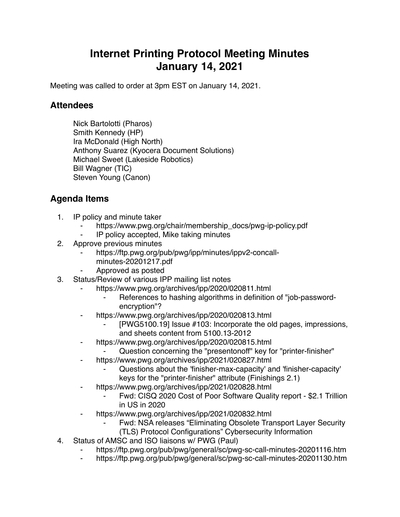# **Internet Printing Protocol Meeting Minutes January 14, 2021**

Meeting was called to order at 3pm EST on January 14, 2021.

## **Attendees**

Nick Bartolotti (Pharos) Smith Kennedy (HP) Ira McDonald (High North) Anthony Suarez (Kyocera Document Solutions) Michael Sweet (Lakeside Robotics) Bill Wagner (TIC) Steven Young (Canon)

# **Agenda Items**

- 1. IP policy and minute taker
	- https://www.pwg.org/chair/membership\_docs/pwg-ip-policy.pdf
	- ⁃ IP policy accepted, Mike taking minutes
- 2. Approve previous minutes
	- https://ftp.pwg.org/pub/pwg/ipp/minutes/ippv2-concallminutes-20201217.pdf
	- ⁃ Approved as posted
- 3. Status/Review of various IPP mailing list notes
	- https://www.pwg.org/archives/ipp/2020/020811.html
		- References to hashing algorithms in definition of "job-passwordencryption"?
	- ⁃ https://www.pwg.org/archives/ipp/2020/020813.html
		- [PWG5100.19] Issue #103: Incorporate the old pages, impressions, and sheets content from 5100.13-2012
	- ⁃ https://www.pwg.org/archives/ipp/2020/020815.html
		- Question concerning the "presentonoff" key for "printer-finisher"
	- https://www.pwg.org/archives/ipp/2021/020827.html
		- Questions about the 'finisher-max-capacity' and 'finisher-capacity' keys for the "printer-finisher" attribute (Finishings 2.1)
	- ⁃ https://www.pwg.org/archives/ipp/2021/020828.html
		- Fwd: CISQ 2020 Cost of Poor Software Quality report \$2.1 Trillion in US in 2020
	- https://www.pwg.org/archives/ipp/2021/020832.html
		- Fwd: NSA releases "Eliminating Obsolete Transport Layer Security
		- (TLS) Protocol Configurations" Cybersecurity Information
- 4. Status of AMSC and ISO liaisons w/ PWG (Paul)
	- https://ftp.pwg.org/pub/pwg/general/sc/pwg-sc-call-minutes-20201116.htm
	- ⁃ https://ftp.pwg.org/pub/pwg/general/sc/pwg-sc-call-minutes-20201130.htm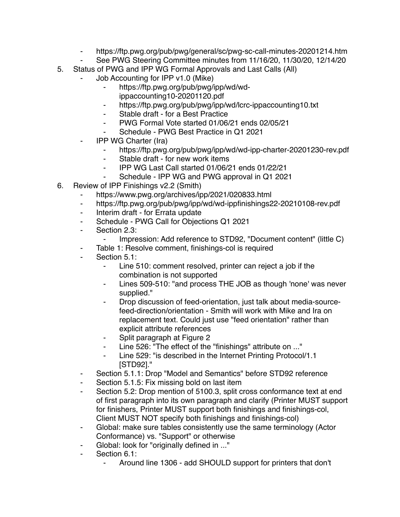- ⁃ https://ftp.pwg.org/pub/pwg/general/sc/pwg-sc-call-minutes-20201214.htm
- See PWG Steering Committee minutes from 11/16/20, 11/30/20, 12/14/20
- 5. Status of PWG and IPP WG Formal Approvals and Last Calls (All)
	- Job Accounting for IPP v1.0 (Mike)
		- ⁃ https://ftp.pwg.org/pub/pwg/ipp/wd/wd
			- ippaccounting10-20201120.pdf
		- https://ftp.pwg.org/pub/pwg/ipp/wd/lcrc-ippaccounting10.txt
		- Stable draft for a Best Practice
		- PWG Formal Vote started 01/06/21 ends 02/05/21
		- Schedule PWG Best Practice in Q1 2021
	- **IPP WG Charter (Ira)** 
		- ⁃ https://ftp.pwg.org/pub/pwg/ipp/wd/wd-ipp-charter-20201230-rev.pdf
		- ⁃ Stable draft for new work items
		- ⁃ IPP WG Last Call started 01/06/21 ends 01/22/21
		- Schedule IPP WG and PWG approval in Q1 2021
- 6. Review of IPP Finishings v2.2 (Smith)
	- https://www.pwg.org/archives/ipp/2021/020833.html
	- ⁃ https://ftp.pwg.org/pub/pwg/ipp/wd/wd-ippfinishings22-20210108-rev.pdf
	- ⁃ Interim draft for Errata update
	- ⁃ Schedule PWG Call for Objections Q1 2021
	- ⁃ Section 2.3:
		- ⁃ Impression: Add reference to STD92, "Document content" (little C)
	- Table 1: Resolve comment, finishings-col is required
	- Section 5.1:
		- ⁃ Line 510: comment resolved, printer can reject a job if the combination is not supported
		- ⁃ Lines 509-510: "and process THE JOB as though 'none' was never supplied."
		- Drop discussion of feed-orientation, just talk about media-sourcefeed-direction/orientation - Smith will work with Mike and Ira on replacement text. Could just use "feed orientation" rather than explicit attribute references
		- Split paragraph at Figure 2
		- ⁃ Line 526: "The effect of the "finishings" attribute on ..."
		- ⁃ Line 529: "is described in the Internet Printing Protocol/1.1 [STD92]."
	- ⁃ Section 5.1.1: Drop "Model and Semantics" before STD92 reference
	- Section 5.1.5: Fix missing bold on last item
	- Section 5.2: Drop mention of 5100.3, split cross conformance text at end of first paragraph into its own paragraph and clarify (Printer MUST support for finishers, Printer MUST support both finishings and finishings-col, Client MUST NOT specify both finishings and finishings-col)
	- Global: make sure tables consistently use the same terminology (Actor Conformance) vs. "Support" or otherwise
	- ⁃ Global: look for "originally defined in ..."
	- Section 6.1:
		- Around line 1306 add SHOULD support for printers that don't